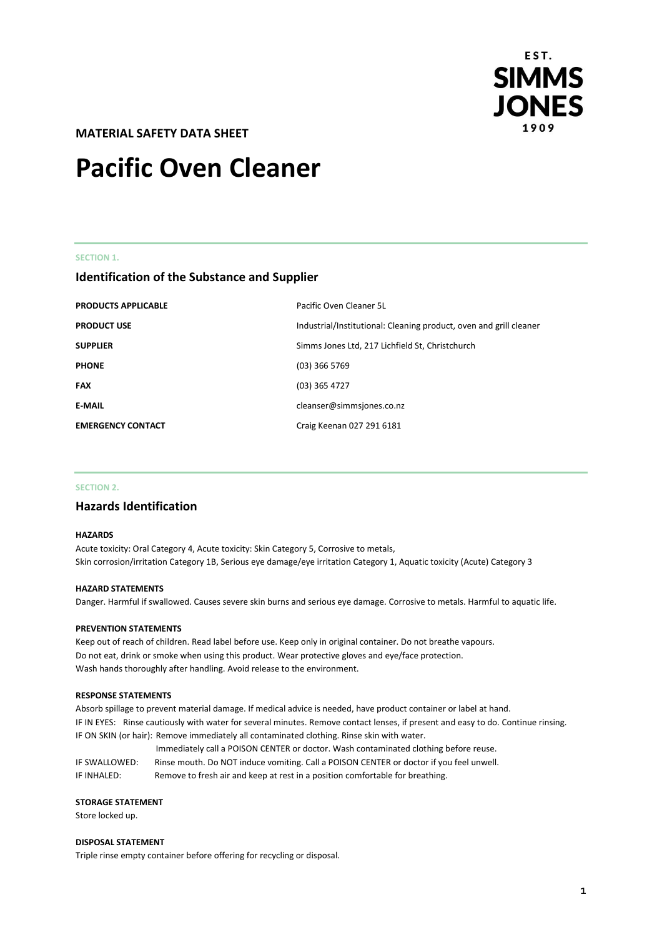

**MATERIAL SAFETY DATA SHEET** 

# **Pacific Oven Cleaner**

#### **SECTION 1.**

# **Identification of the Substance and Supplier**

| <b>PRODUCTS APPLICABLE</b> | Pacific Oven Cleaner 5L                                            |
|----------------------------|--------------------------------------------------------------------|
| <b>PRODUCT USE</b>         | Industrial/Institutional: Cleaning product, oven and grill cleaner |
| <b>SUPPLIER</b>            | Simms Jones Ltd, 217 Lichfield St, Christchurch                    |
| <b>PHONE</b>               | $(03)$ 366 5769                                                    |
| <b>FAX</b>                 | (03) 365 4727                                                      |
| <b>E-MAIL</b>              | cleanser@simmsjones.co.nz                                          |
| <b>EMERGENCY CONTACT</b>   | Craig Keenan 027 291 6181                                          |

#### **SECTION 2.**

# **Hazards Identification**

#### **HAZARDS**

Acute toxicity: Oral Category 4, Acute toxicity: Skin Category 5, Corrosive to metals, Skin corrosion/irritation Category 1B, Serious eye damage/eye irritation Category 1, Aquatic toxicity (Acute) Category 3

#### **HAZARD STATEMENTS**

Danger. Harmful if swallowed. Causes severe skin burns and serious eye damage. Corrosive to metals. Harmful to aquatic life.

### **PREVENTION STATEMENTS**

Keep out of reach of children. Read label before use. Keep only in original container. Do not breathe vapours. Do not eat, drink or smoke when using this product. Wear protective gloves and eye/face protection. Wash hands thoroughly after handling. Avoid release to the environment.

#### **RESPONSE STATEMENTS**

Absorb spillage to prevent material damage. If medical advice is needed, have product container or label at hand. IF IN EYES: Rinse cautiously with water for several minutes. Remove contact lenses, if present and easy to do. Continue rinsing. IF ON SKIN (or hair): Remove immediately all contaminated clothing. Rinse skin with water.

Immediately call a POISON CENTER or doctor. Wash contaminated clothing before reuse. IF SWALLOWED: Rinse mouth. Do NOT induce vomiting. Call a POISON CENTER or doctor if you feel unwell. IF INHALED: Remove to fresh air and keep at rest in a position comfortable for breathing.

#### **STORAGE STATEMENT**

Store locked up.

#### **DISPOSAL STATEMENT**

Triple rinse empty container before offering for recycling or disposal.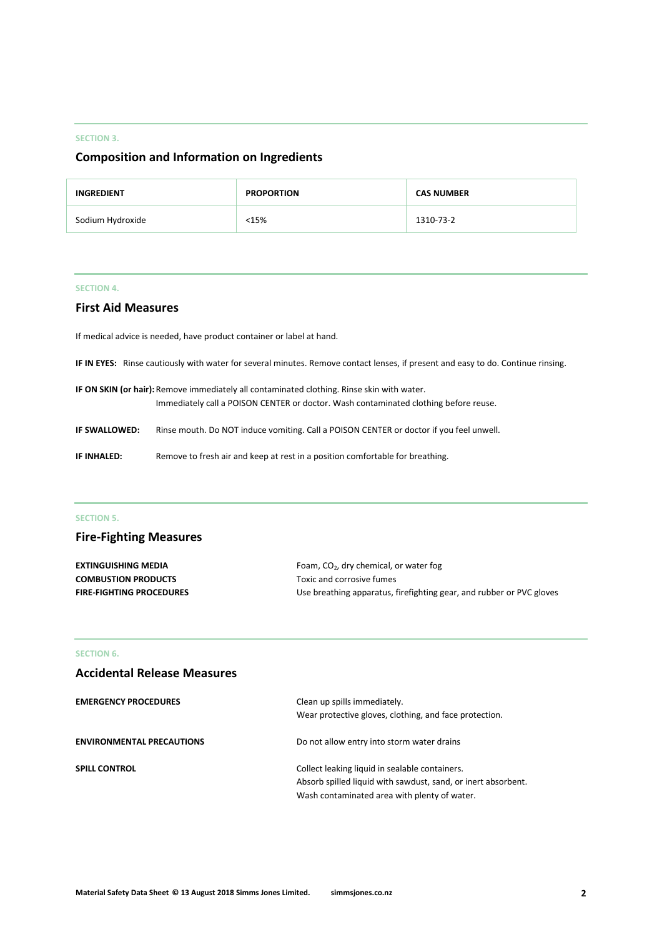#### **SECTION 3.**

# **Composition and Information on Ingredients**

| <b>INGREDIENT</b> | <b>PROPORTION</b> | <b>CAS NUMBER</b> |
|-------------------|-------------------|-------------------|
| Sodium Hydroxide  | <15%              | 1310-73-2         |

# **SECTION 4.**

# **First Aid Measures**

If medical advice is needed, have product container or label at hand.

**IF IN EYES:** Rinse cautiously with water for several minutes. Remove contact lenses, if present and easy to do. Continue rinsing.

**IF ON SKIN (or hair):**Remove immediately all contaminated clothing. Rinse skin with water. Immediately call a POISON CENTER or doctor. Wash contaminated clothing before reuse.

**IF SWALLOWED:** Rinse mouth. Do NOT induce vomiting. Call a POISON CENTER or doctor if you feel unwell.

**IF INHALED:** Remove to fresh air and keep at rest in a position comfortable for breathing.

# **SECTION 5.**

# **Fire-Fighting Measures**

| <b>EXTINGUISHING MEDIA</b>      | Foam, $CO2$ , dry chemical, or water fog                             |
|---------------------------------|----------------------------------------------------------------------|
| <b>COMBUSTION PRODUCTS</b>      | Toxic and corrosive fumes                                            |
| <b>FIRE-FIGHTING PROCEDURES</b> | Use breathing apparatus, firefighting gear, and rubber or PVC gloves |

### **SECTION 6.**

# **Accidental Release Measures**

| <b>EMERGENCY PROCEDURES</b>      | Clean up spills immediately.<br>Wear protective gloves, clothing, and face protection.                                                                          |
|----------------------------------|-----------------------------------------------------------------------------------------------------------------------------------------------------------------|
| <b>ENVIRONMENTAL PRECAUTIONS</b> | Do not allow entry into storm water drains                                                                                                                      |
| <b>SPILL CONTROL</b>             | Collect leaking liquid in sealable containers.<br>Absorb spilled liquid with sawdust, sand, or inert absorbent.<br>Wash contaminated area with plenty of water. |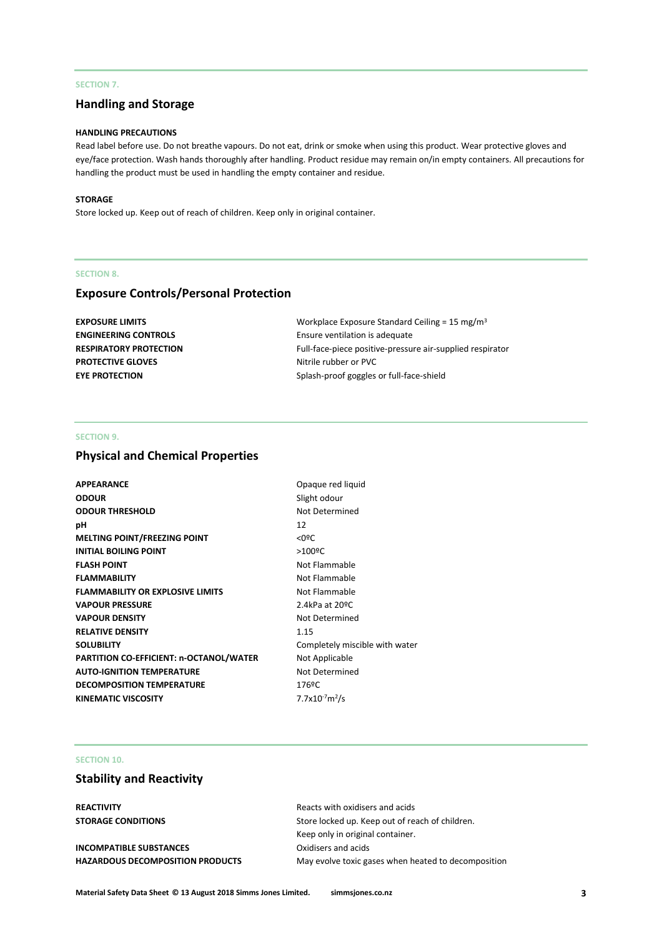# **SECTION 7.**

# **Handling and Storage**

# **HANDLING PRECAUTIONS**

Read label before use. Do not breathe vapours. Do not eat, drink or smoke when using this product. Wear protective gloves and eye/face protection. Wash hands thoroughly after handling. Product residue may remain on/in empty containers. All precautions for handling the product must be used in handling the empty container and residue.

#### **STORAGE**

Store locked up. Keep out of reach of children. Keep only in original container.

#### **SECTION 8.**

# **Exposure Controls/Personal Protection**

| EXPOSURE LIMITS             | Workplace Exposure Standard Ceiling = 15 mg/m <sup>3</sup> |
|-----------------------------|------------------------------------------------------------|
| <b>ENGINEERING CONTROLS</b> | Ensure ventilation is adequate                             |
| RESPIRATORY PROTECTION      | Full-face-piece positive-pressure air-supplied respirator  |
| <b>PROTECTIVE GLOVES</b>    | Nitrile rubber or PVC                                      |
| <b>EYE PROTECTION</b>       | Splash-proof goggles or full-face-shield                   |
|                             |                                                            |

#### **SECTION 9.**

# **Physical and Chemical Properties**

| <b>APPEARANCE</b>                       | Opaque red liquid              |
|-----------------------------------------|--------------------------------|
| <b>ODOUR</b>                            | Slight odour                   |
| <b>ODOUR THRESHOLD</b>                  | Not Determined                 |
| рH                                      | 12                             |
| <b>MELTING POINT/FREEZING POINT</b>     | $<$ 0ºC                        |
| <b>INITIAL BOILING POINT</b>            | $>100$ <sup>o</sup> C          |
| <b>FLASH POINT</b>                      | Not Flammable                  |
| <b>FLAMMABILITY</b>                     | Not Flammable                  |
| <b>FLAMMABILITY OR EXPLOSIVE LIMITS</b> | Not Flammable                  |
| <b>VAPOUR PRESSURE</b>                  | 2.4kPa at 20°C                 |
| <b>VAPOUR DENSITY</b>                   | Not Determined                 |
| <b>RELATIVE DENSITY</b>                 | 1.15                           |
| <b>SOLUBILITY</b>                       | Completely miscible with water |
| PARTITION CO-EFFICIENT: n-OCTANOL/WATER | Not Applicable                 |
| <b>AUTO-IGNITION TEMPERATURE</b>        | Not Determined                 |
| <b>DECOMPOSITION TEMPERATURE</b>        | 176ºC                          |
| <b>KINEMATIC VISCOSITY</b>              | $7.7x10^{-7}m^2/s$             |
|                                         |                                |

#### **SECTION 10.**

# **Stability and Reactivity**

**INCOMPATIBLE SUBSTANCES** Oxidisers and acids

**REACTIVITY** Reacts with oxidisers and acids **STORAGE CONDITIONS** Store locked up. Keep out of reach of children. Keep only in original container. **HAZARDOUS DECOMPOSITION PRODUCTS** May evolve toxic gases when heated to decomposition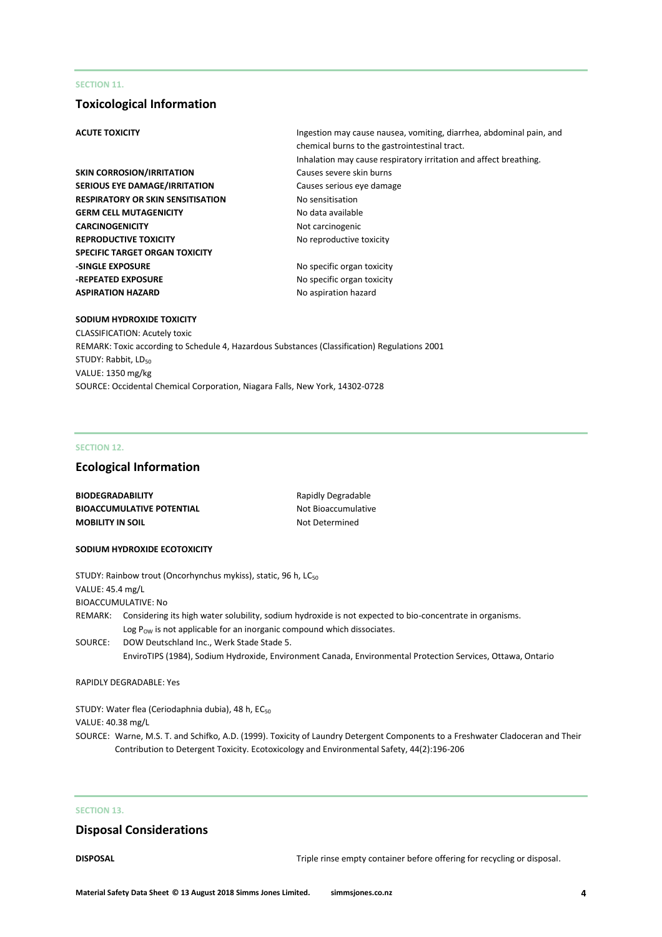#### **SECTION 11.**

# **Toxicological Information**

- **SKIN CORROSION/IRRITATION** Causes severe skin burns **SERIOUS EYE DAMAGE/IRRITATION** Causes serious eye damage **RESPIRATORY OR SKIN SENSITISATION No sensitisation GERM CELL MUTAGENICITY** No data available **CARCINOGENICITY** Not carcinogenic **REPRODUCTIVE TOXICITY** No reproductive toxicity **SPECIFIC TARGET ORGAN TOXICITY -SINGLE EXPOSURE** No specific organ toxicity **-REPEATED EXPOSURE** No specific organ toxicity **ASPIRATION HAZARD** No aspiration hazard
- **ACUTE TOXICITY Ingestion may cause nausea, vomiting, diarrhea, abdominal pain, and ACUTE TOXICITY** chemical burns to the gastrointestinal tract. Inhalation may cause respiratory irritation and affect breathing.
	-

#### **SODIUM HYDROXIDE TOXICITY**

CLASSIFICATION: Acutely toxic REMARK: Toxic according to Schedule 4, Hazardous Substances (Classification) Regulations 2001 STUDY: Rabbit, LD<sub>50</sub> VALUE: 1350 mg/kg SOURCE: Occidental Chemical Corporation, Niagara Falls, New York, 14302-0728

#### **SECTION 12.**

### **Ecological Information**

| <b>BIODEGRADABILITY</b>          | Rapidly Degradable  |
|----------------------------------|---------------------|
| <b>BIOACCUMULATIVE POTENTIAL</b> | Not Bioaccumulative |
| <b>MOBILITY IN SOIL</b>          | Not Determined      |

#### **SODIUM HYDROXIDE ECOTOXICITY**

|                  | STUDY: Rainbow trout (Oncorhynchus mykiss), static, 96 h, LC <sub>50</sub>                                                                                                                             |
|------------------|--------------------------------------------------------------------------------------------------------------------------------------------------------------------------------------------------------|
| VALUE: 45.4 mg/L |                                                                                                                                                                                                        |
|                  | BIOACCUMULATIVE: No                                                                                                                                                                                    |
|                  | REMARK: Considering its high water solubility, sodium hydroxide is not expected to bio-concentrate in organisms.<br>Log $P_{\text{OW}}$ is not applicable for an inorganic compound which dissociates. |
| SOURCE:          | DOW Deutschland Inc., Werk Stade Stade 5.<br>EnviroTIPS (1984), Sodium Hydroxide, Environment Canada, Environmental Protection Services, Ottawa, Ontario                                               |
|                  |                                                                                                                                                                                                        |

#### RAPIDLY DEGRADABLE: Yes

STUDY: Water flea (Ceriodaphnia dubia), 48 h, EC<sub>50</sub> VALUE: 40.38 mg/L

SOURCE: Warne, M.S. T. and Schifko, A.D. (1999). Toxicity of Laundry Detergent Components to a Freshwater Cladoceran and Their Contribution to Detergent Toxicity. Ecotoxicology and Environmental Safety, 44(2):196-206

# **SECTION 13.**

# **Disposal Considerations**

**DISPOSAL** DISPOSAL **Triple rinse empty container before offering for recycling or disposal.**